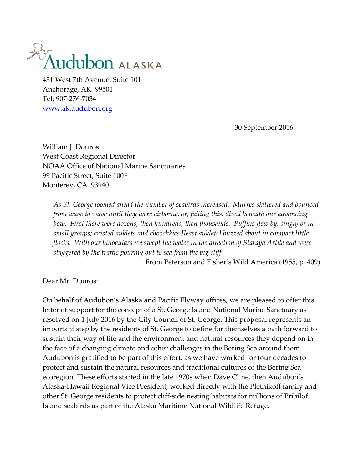

Anchorage, AK 99501 Tel: 907-276-7034 [www.ak.audubon.org](http://www.ak.audubon.org/)

30 September 2016

William J. Douros West Coast Regional Director NOAA Office of National Marine Sanctuaries 99 Pacific Street, Suite 100F Monterey, CA 93940

*As St. George loomed ahead the number of seabirds increased. Murres skittered and bounced from wave to wave until they were airborne, or, failing this, dived beneath our advancing bow. First there were dozens, then hundreds, then thousands. Puffins flew by, singly or in small groups; crested auklets and choochkies [least auklets] buzzed about in compact little flocks. With our binoculars we swept the water in the direction of Staraya Artile and were staggered by the traffic pouring out to sea from the big cliff.*

From Peterson and Fisher's Wild America (1955, p. 409)

Dear Mr. Douros:

On behalf of Audubon's Alaska and Pacific Flyway offices, we are pleased to offer this letter of support for the concept of a St. George Island National Marine Sanctuary as resolved on 1 July 2016 by the City Council of St. George. This proposal represents an important step by the residents of St. George to define for themselves a path forward to sustain their way of life and the environment and natural resources they depend on in the face of a changing climate and other challenges in the Bering Sea around them. Audubon is gratified to be part of this effort, as we have worked for four decades to protect and sustain the natural resources and traditional cultures of the Bering Sea ecoregion. These efforts started in the late 1970s when Dave Cline, then Audubon's Alaska-Hawaii Regional Vice President, worked directly with the Pletnikoff family and other St. George residents to protect cliff-side nesting habitats for millions of Pribilof Island seabirds as part of the Alaska Maritime National Wildlife Refuge.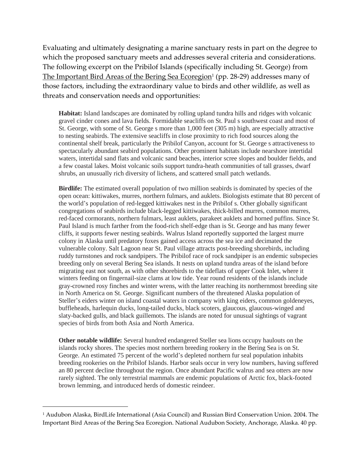Evaluating and ultimately designating a marine sanctuary rests in part on the degree to which the proposed sanctuary meets and addresses several criteria and considerations. The following excerpt on the Pribilof Islands (specifically including St. George) from <u>The Important Bird Areas of the Bering Sea Ecoregion<del>'</del> (pp. 28-29) addresses many of</u> those factors, including the extraordinary value to birds and other wildlife, as well as threats and conservation needs and opportunities:

**Habitat:** Island landscapes are dominated by rolling upland tundra hills and ridges with volcanic gravel cinder cones and lava fields. Formidable seacliffs on St. Paul s southwest coast and most of St. George, with some of St. George s more than 1,000 feet (305 m) high, are especially attractive to nesting seabirds. The extensive seacliffs in close proximity to rich food sources along the continental shelf break, particularly the Pribilof Canyon, account for St. George s attractiveness to spectacularly abundant seabird populations. Other prominent habitats include nearshore intertidal waters, intertidal sand flats and volcanic sand beaches, interior scree slopes and boulder fields, and a few coastal lakes. Moist volcanic soils support tundra-heath communities of tall grasses, dwarf shrubs, an unusually rich diversity of lichens, and scattered small patch wetlands.

**Birdlife:** The estimated overall population of two million seabirds is dominated by species of the open ocean: kittiwakes, murres, northern fulmars, and auklets. Biologists estimate that 80 percent of the world's population of red-legged kittiwakes nest in the Pribilof s. Other globally significant congregations of seabirds include black-legged kittiwakes, thick-billed murres, common murres, red-faced cormorants, northern fulmars, least auklets, parakeet auklets and horned puffins. Since St. Paul Island is much farther from the food-rich shelf-edge than is St. George and has many fewer cliffs, it supports fewer nesting seabirds. Walrus Island reportedly supported the largest murre colony in Alaska until predatory foxes gained access across the sea ice and decimated the vulnerable colony. Salt Lagoon near St. Paul village attracts post-breeding shorebirds, including ruddy turnstones and rock sandpipers. The Pribilof race of rock sandpiper is an endemic subspecies breeding only on several Bering Sea islands. It nests on upland tundra areas of the island before migrating east not south, as with other shorebirds to the tideflats of upper Cook Inlet, where it winters feeding on fingernail-size clams at low tide. Year round residents of the islands include gray-crowned rosy finches and winter wrens, with the latter reaching its northernmost breeding site in North America on St. George. Significant numbers of the threatened Alaska population of Steller's eiders winter on island coastal waters in company with king eiders, common goldeneyes, buffleheads, harlequin ducks, long-tailed ducks, black scoters, glaucous, glaucous-winged and slaty-backed gulls, and black guillemots. The islands are noted for unusual sightings of vagrant species of birds from both Asia and North America.

**Other notable wildlife:** Several hundred endangered Steller sea lions occupy haulouts on the islands rocky shores. The species most northern breeding rookery in the Bering Sea is on St. George. An estimated 75 percent of the world's depleted northern fur seal population inhabits breeding rookeries on the Pribilof Islands. Harbor seals occur in very low numbers, having suffered an 80 percent decline throughout the region. Once abundant Pacific walrus and sea otters are now rarely sighted. The only terrestrial mammals are endemic populations of Arctic fox, black-footed brown lemming, and introduced herds of domestic reindeer.

 $\overline{a}$ 

<sup>1</sup> Audubon Alaska, BirdLife International (Asia Council) and Russian Bird Conservation Union. 2004. The Important Bird Areas of the Bering Sea Ecoregion. National Audubon Society, Anchorage, Alaska. 40 pp.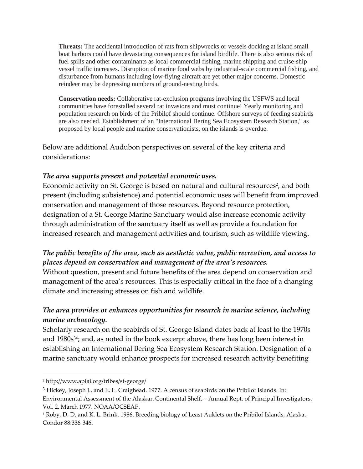**Threats:** The accidental introduction of rats from shipwrecks or vessels docking at island small boat harbors could have devastating consequences for island birdlife. There is also serious risk of fuel spills and other contaminants as local commercial fishing, marine shipping and cruise-ship vessel traffic increases. Disruption of marine food webs by industrial-scale commercial fishing, and disturbance from humans including low-flying aircraft are yet other major concerns. Domestic reindeer may be depressing numbers of ground-nesting birds.

**Conservation needs:** Collaborative rat-exclusion programs involving the USFWS and local communities have forestalled several rat invasions and must continue! Yearly monitoring and population research on birds of the Pribilof should continue. Offshore surveys of feeding seabirds are also needed. Establishment of an "International Bering Sea Ecosystem Research Station," as proposed by local people and marine conservationists, on the islands is overdue.

Below are additional Audubon perspectives on several of the key criteria and considerations:

### *The area supports present and potential economic uses.*

Economic activity on St. George is based on natural and cultural resources<sup>2</sup>, and both present (including subsistence) and potential economic uses will benefit from improved conservation and management of those resources. Beyond resource protection, designation of a St. George Marine Sanctuary would also increase economic activity through administration of the sanctuary itself as well as provide a foundation for increased research and management activities and tourism, such as wildlife viewing.

### *The public benefits of the area, such as aesthetic value, public recreation, and access to places depend on conservation and management of the area's resources.*

Without question, present and future benefits of the area depend on conservation and management of the area's resources. This is especially critical in the face of a changing climate and increasing stresses on fish and wildlife.

# *The area provides or enhances opportunities for research in marine science, including marine archaeology.*

Scholarly research on the seabirds of St. George Island dates back at least to the 1970s and 1980s34; and, as noted in the book excerpt above, there has long been interest in establishing an International Bering Sea Ecosystem Research Station. Designation of a marine sanctuary would enhance prospects for increased research activity benefiting

 $\overline{a}$ 

<sup>2</sup> http://www.apiai.org/tribes/st-george/

<sup>&</sup>lt;sup>3</sup> Hickey, Joseph J., and E. L. Craighead. 1977. A census of seabirds on the Pribilof Islands. In: Environmental Assessment of the Alaskan Continental Shelf.—Annual Rept. of Principal Investigators. Vol. 2, March 1977. NOAA/OCSEAP.

<sup>4</sup> Roby, D. D. and K. L. Brink. 1986. Breeding biology of Least Auklets on the Pribilof Islands, Alaska. Condor 88:336-346.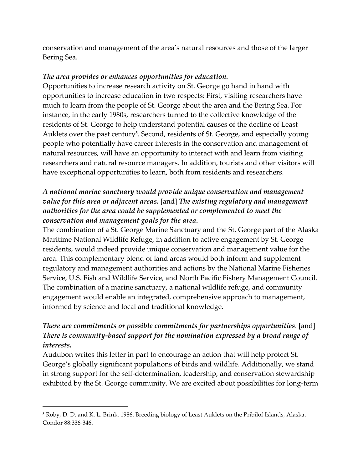conservation and management of the area's natural resources and those of the larger Bering Sea.

#### *The area provides or enhances opportunities for education.*

Opportunities to increase research activity on St. George go hand in hand with opportunities to increase education in two respects: First, visiting researchers have much to learn from the people of St. George about the area and the Bering Sea. For instance, in the early 1980s, researchers turned to the collective knowledge of the residents of St. George to help understand potential causes of the decline of Least Auklets over the past century<sup>5</sup>. Second, residents of St. George, and especially young people who potentially have career interests in the conservation and management of natural resources, will have an opportunity to interact with and learn from visiting researchers and natural resource managers. In addition, tourists and other visitors will have exceptional opportunities to learn, both from residents and researchers.

## *A national marine sanctuary would provide unique conservation and management value for this area or adjacent areas.* [and] *The existing regulatory and management authorities for the area could be supplemented or complemented to meet the conservation and management goals for the area.*

The combination of a St. George Marine Sanctuary and the St. George part of the Alaska Maritime National Wildlife Refuge, in addition to active engagement by St. George residents, would indeed provide unique conservation and management value for the area. This complementary blend of land areas would both inform and supplement regulatory and management authorities and actions by the National Marine Fisheries Service, U.S. Fish and Wildlife Service, and North Pacific Fishery Management Council. The combination of a marine sanctuary, a national wildlife refuge, and community engagement would enable an integrated, comprehensive approach to management, informed by science and local and traditional knowledge.

# *There are commitments or possible commitments for partnerships opportunities*. [and] *There is community-based support for the nomination expressed by a broad range of interests.*

Audubon writes this letter in part to encourage an action that will help protect St. George's globally significant populations of birds and wildlife. Additionally, we stand in strong support for the self-determination, leadership, and conservation stewardship exhibited by the St. George community. We are excited about possibilities for long-term

 $\overline{a}$ 

<sup>5</sup> Roby, D. D. and K. L. Brink. 1986. Breeding biology of Least Auklets on the Pribilof Islands, Alaska. Condor 88:336-346.